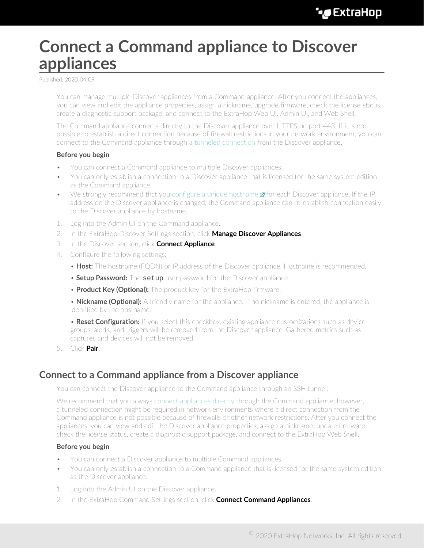## <span id="page-0-1"></span>**Connect a Command appliance to Discover appliances**

Published: 2020-04-09

You can manage multiple Discover appliances from a Command appliance. After you connect the appliances, you can view and edit the appliance properties, assign a nickname, upgrade firmware, check the license status, create a diagnostic support package, and connect to the ExtraHop Web UI, Admin UI, and Web Shell.

The Command appliance connects directly to the Discover appliance over HTTPS on port 443. If it is not possible to establish a direct connection because of firewall restrictions in your network environment, you can connect to the Command appliance through a [tunneled connection](#page-0-0) from the Discover appliance.

## **Before you begin**

- You can connect a Command appliance to multiple Discover appliances.
- You can only establish a connection to a Discover appliance that is licensed for the same system edition as the Command appliance.
- We strongly recommend that you [configure a unique hostname](https://docs.extrahop.com/7.9/eta-admin-ui-guide/#connectivity)  $\mathbf{z}$  for each Discover appliance. If the IP address on the Discover appliance is changed, the Command appliance can re-establish connection easily to the Discover appliance by hostname.
- 1. Log into the Admin UI on the Command appliance.
- 2. In the ExtraHop Discover Settings section, click **Manage Discover Appliances**.
- 3. In the Discover section, click **Connect Appliance**.
- 4. Configure the following settings:
	- **Host:** The hostname (FQDN) or IP address of the Discover appliance. Hostname is recommended.
	- **Setup Password:** The setup user password for the Discover appliance.
	- **Product Key (Optional):** The product key for the ExtraHop firmware.

• **Nickname (Optional):** A friendly name for the appliance. If no nickname is entered, the appliance is identified by the hostname.

• **Reset Configuration:** If you select this checkbox, existing appliance customizations such as device groups, alerts, and triggers will be removed from the Discover appliance. Gathered metrics such as captures and devices will not be removed.

5. Click **Pair**.

## <span id="page-0-0"></span>**Connect to a Command appliance from a Discover appliance**

You can connect the Discover appliance to the Command appliance through an SSH tunnel.

We recommend that you always [connect appliances directly](#page-0-1) through the Command appliance; however, a tunneled connection might be required in network environments where a direct connection from the Command appliance is not possible because of firewalls or other network restrictions. After you connect the appliances, you can view and edit the Discover appliance properties, assign a nickname, update firmware, check the license status, create a diagnostic support package, and connect to the ExtraHop Web Shell.

## **Before you begin**

- You can connect a Discover appliance to multiple Command appliances.
- You can only establish a connection to a Command appliance that is licensed for the same system edition as the Discover appliance.
- 1. Log into the Admin UI on the Discover appliance.
- 2. In the ExtraHop Command Settings section, click **Connect Command Appliances**.